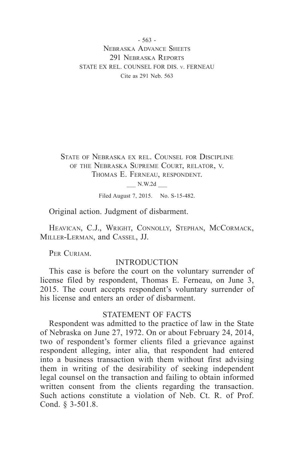- 563 - Nebraska Advance Sheets 291 NEBRASKA REPORTS STATE EX REL. COUNSEL FOR DIS. v. FERNEAU Cite as 291 Neb. 563

State of Nebraska ex rel. Counsel for Discipline of the Nebraska Supreme Court, relator, v. Thomas E. Ferneau, respondent.

\_\_\_ N.W.2d \_\_\_

Filed August 7, 2015. No. S-15-482.

Original action. Judgment of disbarment.

HEAVICAN, C.J., WRIGHT, CONNOLLY, STEPHAN, MCCORMACK, Miller-Lerman, and Cassel, JJ.

PER CURIAM.

#### INTRODUCTION

This case is before the court on the voluntary surrender of license filed by respondent, Thomas E. Ferneau, on June 3, 2015. The court accepts respondent's voluntary surrender of his license and enters an order of disbarment.

### STATEMENT OF FACTS

Respondent was admitted to the practice of law in the State of Nebraska on June 27, 1972. On or about February 24, 2014, two of respondent's former clients filed a grievance against respondent alleging, inter alia, that respondent had entered into a business transaction with them without first advising them in writing of the desirability of seeking independent legal counsel on the transaction and failing to obtain informed written consent from the clients regarding the transaction. Such actions constitute a violation of Neb. Ct. R. of Prof. Cond. § 3-501.8.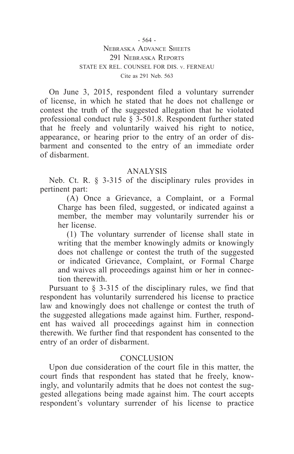On June 3, 2015, respondent filed a voluntary surrender of license, in which he stated that he does not challenge or contest the truth of the suggested allegation that he violated professional conduct rule § 3-501.8. Respondent further stated that he freely and voluntarily waived his right to notice, appearance, or hearing prior to the entry of an order of disbarment and consented to the entry of an immediate order of disbarment.

# ANALYSIS

Neb. Ct. R. § 3-315 of the disciplinary rules provides in pertinent part:

(A) Once a Grievance, a Complaint, or a Formal Charge has been filed, suggested, or indicated against a member, the member may voluntarily surrender his or her license.

(1) The voluntary surrender of license shall state in writing that the member knowingly admits or knowingly does not challenge or contest the truth of the suggested or indicated Grievance, Complaint, or Formal Charge and waives all proceedings against him or her in connection therewith.

Pursuant to § 3-315 of the disciplinary rules, we find that respondent has voluntarily surrendered his license to practice law and knowingly does not challenge or contest the truth of the suggested allegations made against him. Further, respondent has waived all proceedings against him in connection therewith. We further find that respondent has consented to the entry of an order of disbarment.

# **CONCLUSION**

Upon due consideration of the court file in this matter, the court finds that respondent has stated that he freely, knowingly, and voluntarily admits that he does not contest the suggested allegations being made against him. The court accepts respondent's voluntary surrender of his license to practice